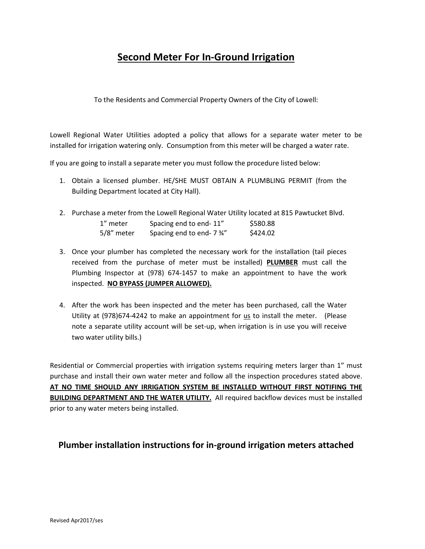## **Second Meter For In-Ground Irrigation**

To the Residents and Commercial Property Owners of the City of Lowell:

Lowell Regional Water Utilities adopted a policy that allows for a separate water meter to be installed for irrigation watering only. Consumption from this meter will be charged a water rate.

If you are going to install a separate meter you must follow the procedure listed below:

- 1. Obtain a licensed plumber. HE/SHE MUST OBTAIN A PLUMBLING PERMIT (from the Building Department located at City Hall).
- 2. Purchase a meter from the Lowell Regional Water Utility located at 815 Pawtucket Blvd. 1" meter Spacing end to end- 11" \$580.88

| T IIICICI  | Spacing City to City-11   | <b>POOLOO</b> |
|------------|---------------------------|---------------|
| 5/8" meter | Spacing end to end- 7 34" | \$424.02      |

- 3. Once your plumber has completed the necessary work for the installation (tail pieces received from the purchase of meter must be installed) **PLUMBER** must call the Plumbing Inspector at (978) 674-1457 to make an appointment to have the work inspected. **NO BYPASS (JUMPER ALLOWED).**
- 4. After the work has been inspected and the meter has been purchased, call the Water Utility at  $(978)674-4242$  to make an appointment for  $us$  to install the meter. (Please</u> note a separate utility account will be set-up, when irrigation is in use you will receive two water utility bills.)

Residential or Commercial properties with irrigation systems requiring meters larger than 1" must purchase and install their own water meter and follow all the inspection procedures stated above. **AT NO TIME SHOULD ANY IRRIGATION SYSTEM BE INSTALLED WITHOUT FIRST NOTIFING THE BUILDING DEPARTMENT AND THE WATER UTILITY.** All required backflow devices must be installed prior to any water meters being installed.

## **Plumber installation instructions for in-ground irrigation meters attached**